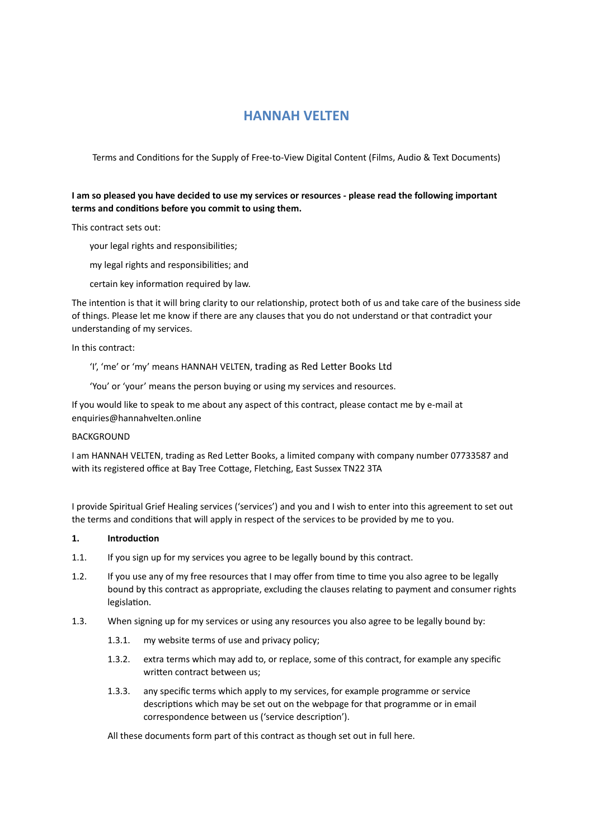# **HANNAH VELTEN**

Terms and Conditions for the Supply of Free-to-View Digital Content (Films, Audio & Text Documents)

# **I am so pleased you have decided to use my services or resources - please read the following important**  terms and conditions before you commit to using them.

This contract sets out:

- your legal rights and responsibilities;
- my legal rights and responsibilities; and
- certain key information required by law.

The intention is that it will bring clarity to our relationship, protect both of us and take care of the business side of things. Please let me know if there are any clauses that you do not understand or that contradict your understanding of my services.

In this contract:

'I', 'me' or 'my' means HANNAH VELTEN, trading as Red Letter Books Ltd

'You' or 'your' means the person buying or using my services and resources.

If you would like to speak to me about any aspect of this contract, please contact me by e-mail at enquiries@hannahvelten.online

### BACKGROUND

I am HANNAH VELTEN, trading as Red Letter Books, a limited company with company number 07733587 and with its registered office at Bay Tree Cottage, Fletching, East Sussex TN22 3TA

I provide Spiritual Grief Healing services ('services') and you and I wish to enter into this agreement to set out the terms and conditions that will apply in respect of the services to be provided by me to you.

## 1. **Introduction**

- 1.1. If you sign up for my services you agree to be legally bound by this contract.
- 1.2. If you use any of my free resources that I may offer from time to time you also agree to be legally bound by this contract as appropriate, excluding the clauses relating to payment and consumer rights legislation.
- 1.3. When signing up for my services or using any resources you also agree to be legally bound by:
	- 1.3.1. my website terms of use and privacy policy;
	- 1.3.2. extra terms which may add to, or replace, some of this contract, for example any specific written contract between us:
	- 1.3.3. any specific terms which apply to my services, for example programme or service descriptions which may be set out on the webpage for that programme or in email correspondence between us ('service description').

All these documents form part of this contract as though set out in full here.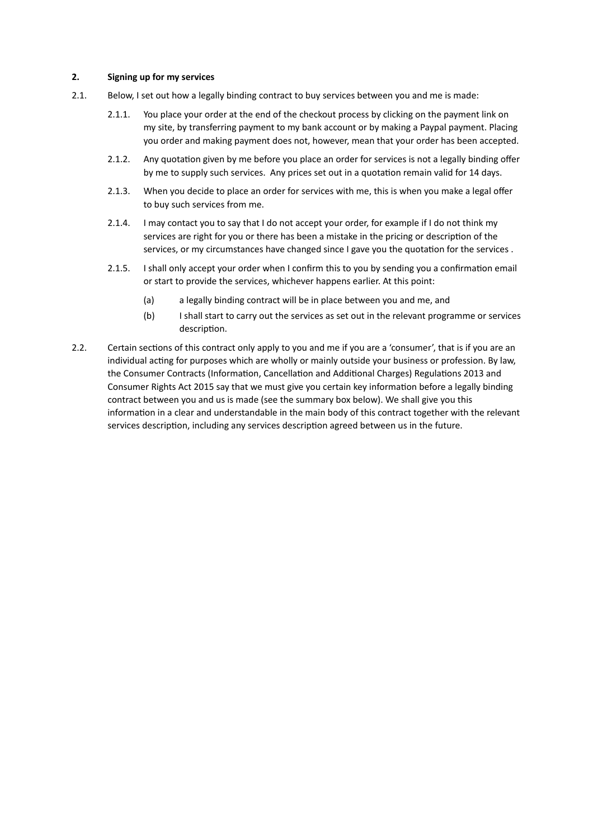### **2. Signing up for my services**

- 2.1. Below, I set out how a legally binding contract to buy services between you and me is made:
	- 2.1.1. You place your order at the end of the checkout process by clicking on the payment link on my site, by transferring payment to my bank account or by making a Paypal payment. Placing you order and making payment does not, however, mean that your order has been accepted.
	- 2.1.2. Any quotation given by me before you place an order for services is not a legally binding offer by me to supply such services. Any prices set out in a quotation remain valid for 14 days.
	- 2.1.3. When you decide to place an order for services with me, this is when you make a legal offer to buy such services from me.
	- 2.1.4. I may contact you to say that I do not accept your order, for example if I do not think my services are right for you or there has been a mistake in the pricing or description of the services, or my circumstances have changed since I gave you the quotation for the services .
	- 2.1.5. I shall only accept your order when I confirm this to you by sending you a confirmation email or start to provide the services, whichever happens earlier. At this point:
		- (a) a legally binding contract will be in place between you and me, and
		- (b) I shall start to carry out the services as set out in the relevant programme or services description.
- 2.2. Certain sections of this contract only apply to you and me if you are a 'consumer', that is if you are an individual acting for purposes which are wholly or mainly outside your business or profession. By law, the Consumer Contracts (Information, Cancellation and Additional Charges) Regulations 2013 and Consumer Rights Act 2015 say that we must give you certain key information before a legally binding contract between you and us is made (see the summary box below). We shall give you this information in a clear and understandable in the main body of this contract together with the relevant services description, including any services description agreed between us in the future.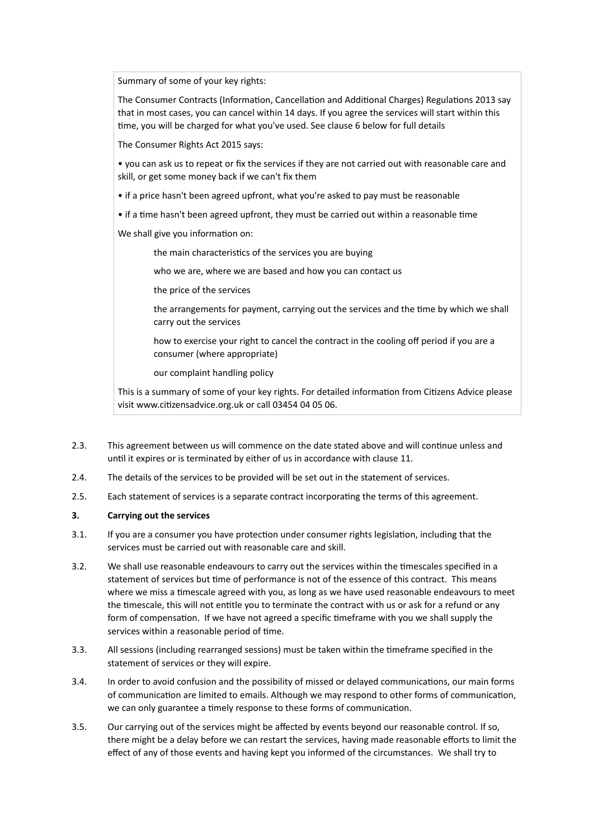Summary of some of your key rights:

The Consumer Contracts (Information, Cancellation and Additional Charges) Regulations 2013 say that in most cases, you can cancel within 14 days. If you agree the services will start within this time, you will be charged for what you've used. See clause 6 below for full details

The Consumer Rights Act 2015 says:

• you can ask us to repeat or fix the services if they are not carried out with reasonable care and skill, or get some money back if we can't fix them

- if a price hasn't been agreed upfront, what you're asked to pay must be reasonable
- if a time hasn't been agreed upfront, they must be carried out within a reasonable time
- We shall give you information on:
	- the main characteristics of the services you are buying
	- who we are, where we are based and how you can contact us
	- the price of the services
	- the arrangements for payment, carrying out the services and the time by which we shall carry out the services
	- how to exercise your right to cancel the contract in the cooling off period if you are a consumer (where appropriate)
	- our complaint handling policy

This is a summary of some of your key rights. For detailed information from Citizens Advice please visit www.citizensadvice.org.uk or call 03454 04 05 06.

- 2.3. This agreement between us will commence on the date stated above and will continue unless and until it expires or is terminated by either of us in accordance with clause 11.
- 2.4. The details of the services to be provided will be set out in the statement of services.
- 2.5. Each statement of services is a separate contract incorporating the terms of this agreement.

### **3. Carrying out the services**

- 3.1. If you are a consumer you have protection under consumer rights legislation, including that the services must be carried out with reasonable care and skill.
- 3.2. We shall use reasonable endeavours to carry out the services within the timescales specified in a statement of services but time of performance is not of the essence of this contract. This means where we miss a timescale agreed with you, as long as we have used reasonable endeavours to meet the timescale, this will not entitle you to terminate the contract with us or ask for a refund or any form of compensation. If we have not agreed a specific timeframe with you we shall supply the services within a reasonable period of time.
- 3.3. All sessions (including rearranged sessions) must be taken within the timeframe specified in the statement of services or they will expire.
- 3.4. In order to avoid confusion and the possibility of missed or delayed communications, our main forms of communication are limited to emails. Although we may respond to other forms of communication, we can only guarantee a timely response to these forms of communication.
- 3.5. Our carrying out of the services might be affected by events beyond our reasonable control. If so, there might be a delay before we can restart the services, having made reasonable efforts to limit the effect of any of those events and having kept you informed of the circumstances. We shall try to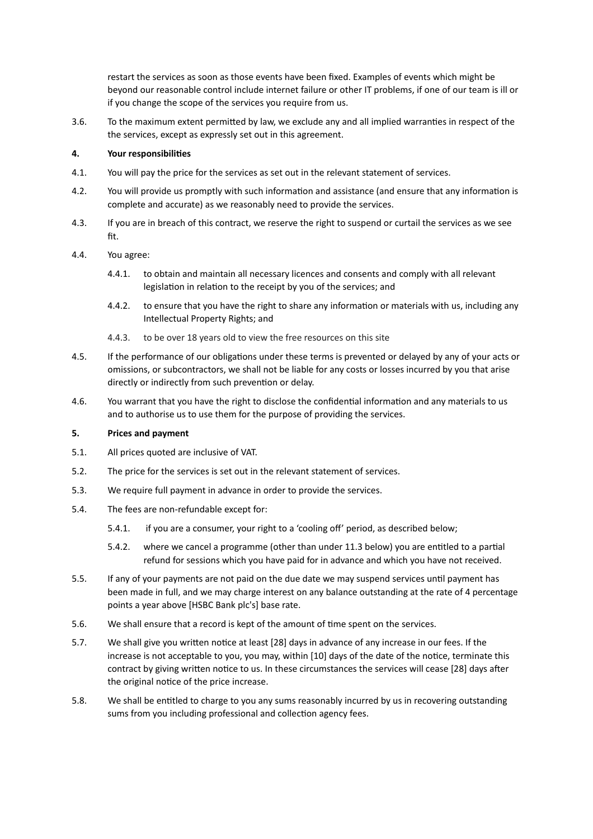restart the services as soon as those events have been fixed. Examples of events which might be beyond our reasonable control include internet failure or other IT problems, if one of our team is ill or if you change the scope of the services you require from us.

3.6. To the maximum extent permitted by law, we exclude any and all implied warranties in respect of the the services, except as expressly set out in this agreement.

### **4. Your responsibili?es**

- 4.1. You will pay the price for the services as set out in the relevant statement of services.
- 4.2. You will provide us promptly with such information and assistance (and ensure that any information is complete and accurate) as we reasonably need to provide the services.
- 4.3. If you are in breach of this contract, we reserve the right to suspend or curtail the services as we see fit.
- 4.4. You agree:
	- 4.4.1. to obtain and maintain all necessary licences and consents and comply with all relevant legislation in relation to the receipt by you of the services; and
	- 4.4.2. to ensure that you have the right to share any information or materials with us, including any Intellectual Property Rights; and
	- 4.4.3. to be over 18 years old to view the free resources on this site
- 4.5. If the performance of our obligations under these terms is prevented or delayed by any of your acts or omissions, or subcontractors, we shall not be liable for any costs or losses incurred by you that arise directly or indirectly from such prevention or delay.
- 4.6. You warrant that you have the right to disclose the confidential information and any materials to us and to authorise us to use them for the purpose of providing the services.

### **5. Prices and payment**

- 5.1. All prices quoted are inclusive of VAT.
- 5.2. The price for the services is set out in the relevant statement of services.
- 5.3. We require full payment in advance in order to provide the services.
- 5.4. The fees are non-refundable except for:
	- 5.4.1. if you are a consumer, your right to a 'cooling off' period, as described below;
	- 5.4.2. where we cancel a programme (other than under 11.3 below) you are entitled to a partial refund for sessions which you have paid for in advance and which you have not received.
- 5.5. If any of your payments are not paid on the due date we may suspend services until payment has been made in full, and we may charge interest on any balance outstanding at the rate of 4 percentage points a year above [HSBC Bank plc's] base rate.
- 5.6. We shall ensure that a record is kept of the amount of time spent on the services.
- 5.7. We shall give you written notice at least [28] days in advance of any increase in our fees. If the increase is not acceptable to you, you may, within [10] days of the date of the notice, terminate this contract by giving written notice to us. In these circumstances the services will cease [28] days after the original notice of the price increase.
- 5.8. We shall be entitled to charge to you any sums reasonably incurred by us in recovering outstanding sums from you including professional and collection agency fees.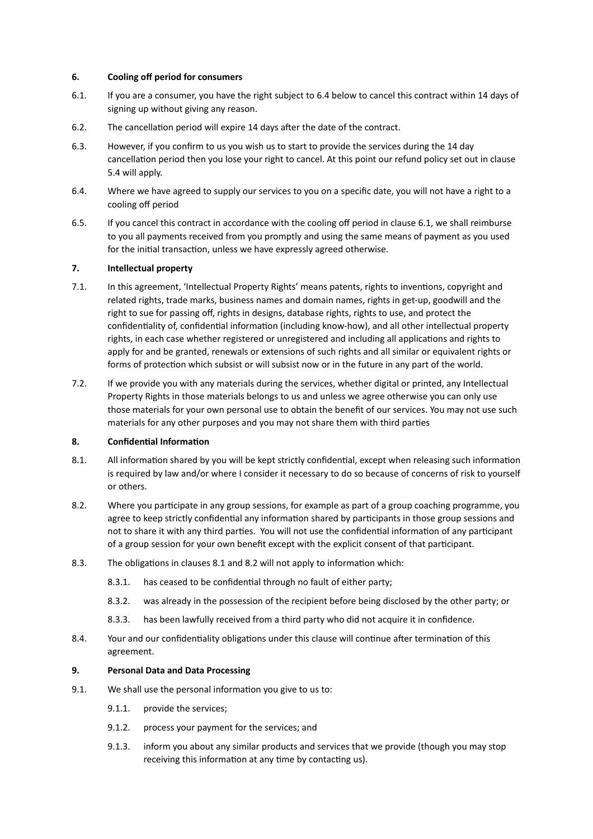### **6. Cooling off period for consumers**

- 6.1. If you are a consumer, you have the right subject to 6.4 below to cancel this contract within 14 days of signing up without giving any reason.
- 6.2. The cancellation period will expire 14 days after the date of the contract.
- 6.3. However, if you confirm to us you wish us to start to provide the services during the 14 day cancellation period then you lose your right to cancel. At this point our refund policy set out in clause 5.4 will apply.
- 6.4. Where we have agreed to supply our services to you on a specific date, you will not have a right to a cooling off period
- 6.5. If you cancel this contract in accordance with the cooling off period in clause 6.1, we shall reimburse to you all payments received from you promptly and using the same means of payment as you used for the initial transaction, unless we have expressly agreed otherwise.

# **7. Intellectual property**

- 7.1. In this agreement, 'Intellectual Property Rights' means patents, rights to inventions, copyright and related rights, trade marks, business names and domain names, rights in get-up, goodwill and the right to sue for passing off, rights in designs, database rights, rights to use, and protect the confidentiality of, confidential information (including know-how), and all other intellectual property rights, in each case whether registered or unregistered and including all applications and rights to apply for and be granted, renewals or extensions of such rights and all similar or equivalent rights or forms of protection which subsist or will subsist now or in the future in any part of the world.
- 7.2. If we provide you with any materials during the services, whether digital or printed, any Intellectual Property Rights in those materials belongs to us and unless we agree otherwise you can only use those materials for your own personal use to obtain the benefit of our services. You may not use such materials for any other purposes and you may not share them with third parties

## **8. Confidential Information**

- 8.1. All information shared by you will be kept strictly confidential, except when releasing such information is required by law and/or where I consider it necessary to do so because of concerns of risk to yourself or others.
- 8.2. Where you participate in any group sessions, for example as part of a group coaching programme, you agree to keep strictly confidential any information shared by participants in those group sessions and not to share it with any third parties. You will not use the confidential information of any participant of a group session for your own benefit except with the explicit consent of that participant.
- 8.3. The obligations in clauses 8.1 and 8.2 will not apply to information which:
	- 8.3.1. has ceased to be confidential through no fault of either party;
	- 8.3.2. was already in the possession of the recipient before being disclosed by the other party; or
	- 8.3.3. has been lawfully received from a third party who did not acquire it in confidence.
- 8.4. Your and our confidentiality obligations under this clause will continue after termination of this agreement.

### **9. Personal Data and Data Processing**

- 9.1. We shall use the personal information you give to us to:
	- 9.1.1. provide the services;
	- 9.1.2. process your payment for the services; and
	- 9.1.3. inform you about any similar products and services that we provide (though you may stop receiving this information at any time by contacting us).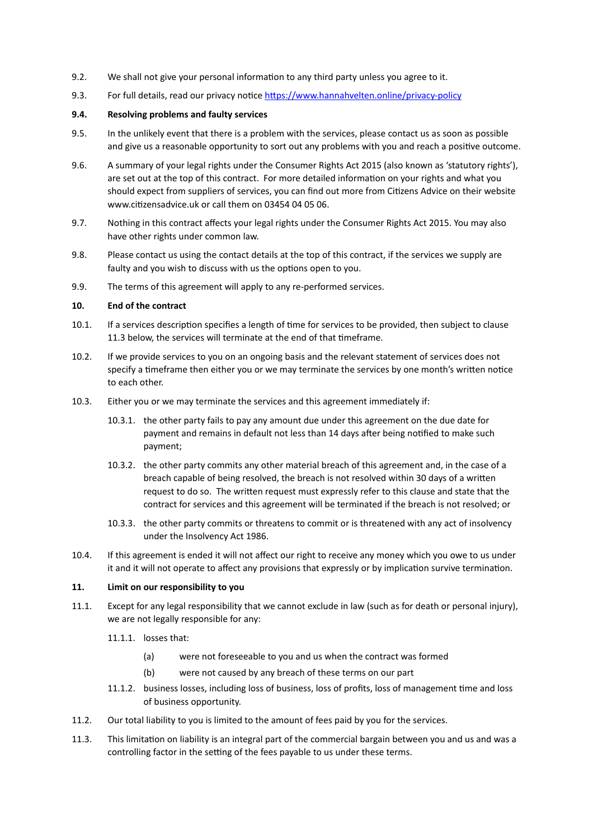- 9.2. We shall not give your personal information to any third party unless you agree to it.
- 9.3. For full details, read our privacy notice https://www.hannahvelten.online/privacy-policy

#### **9.4. Resolving problems and faulty services**

- 9.5. In the unlikely event that there is a problem with the services, please contact us as soon as possible and give us a reasonable opportunity to sort out any problems with you and reach a positive outcome.
- 9.6. A summary of your legal rights under the Consumer Rights Act 2015 (also known as 'statutory rights'), are set out at the top of this contract. For more detailed information on your rights and what you should expect from suppliers of services, you can find out more from Citizens Advice on their website www.citizensadvice.uk or call them on 03454 04 05 06.
- 9.7. Nothing in this contract affects your legal rights under the Consumer Rights Act 2015. You may also have other rights under common law.
- 9.8. Please contact us using the contact details at the top of this contract, if the services we supply are faulty and you wish to discuss with us the options open to you.
- 9.9. The terms of this agreement will apply to any re-performed services.

### **10. End of the contract**

- 10.1. If a services description specifies a length of time for services to be provided, then subject to clause 11.3 below, the services will terminate at the end of that timeframe.
- 10.2. If we provide services to you on an ongoing basis and the relevant statement of services does not specify a timeframe then either you or we may terminate the services by one month's written notice to each other.
- 10.3. Either you or we may terminate the services and this agreement immediately if:
	- 10.3.1. the other party fails to pay any amount due under this agreement on the due date for payment and remains in default not less than 14 days after being notified to make such payment;
	- 10.3.2. the other party commits any other material breach of this agreement and, in the case of a breach capable of being resolved, the breach is not resolved within 30 days of a written request to do so. The written request must expressly refer to this clause and state that the contract for services and this agreement will be terminated if the breach is not resolved; or
	- 10.3.3. the other party commits or threatens to commit or is threatened with any act of insolvency under the Insolvency Act 1986.
- 10.4. If this agreement is ended it will not affect our right to receive any money which you owe to us under it and it will not operate to affect any provisions that expressly or by implication survive termination.

#### **11. Limit on our responsibility to you**

- 11.1. Except for any legal responsibility that we cannot exclude in law (such as for death or personal injury), we are not legally responsible for any:
	- 11.1.1. losses that:
		- (a) were not foreseeable to you and us when the contract was formed
		- (b) were not caused by any breach of these terms on our part
	- 11.1.2. business losses, including loss of business, loss of profits, loss of management time and loss of business opportunity.
- 11.2. Our total liability to you is limited to the amount of fees paid by you for the services.
- 11.3. This limitation on liability is an integral part of the commercial bargain between you and us and was a controlling factor in the setting of the fees payable to us under these terms.